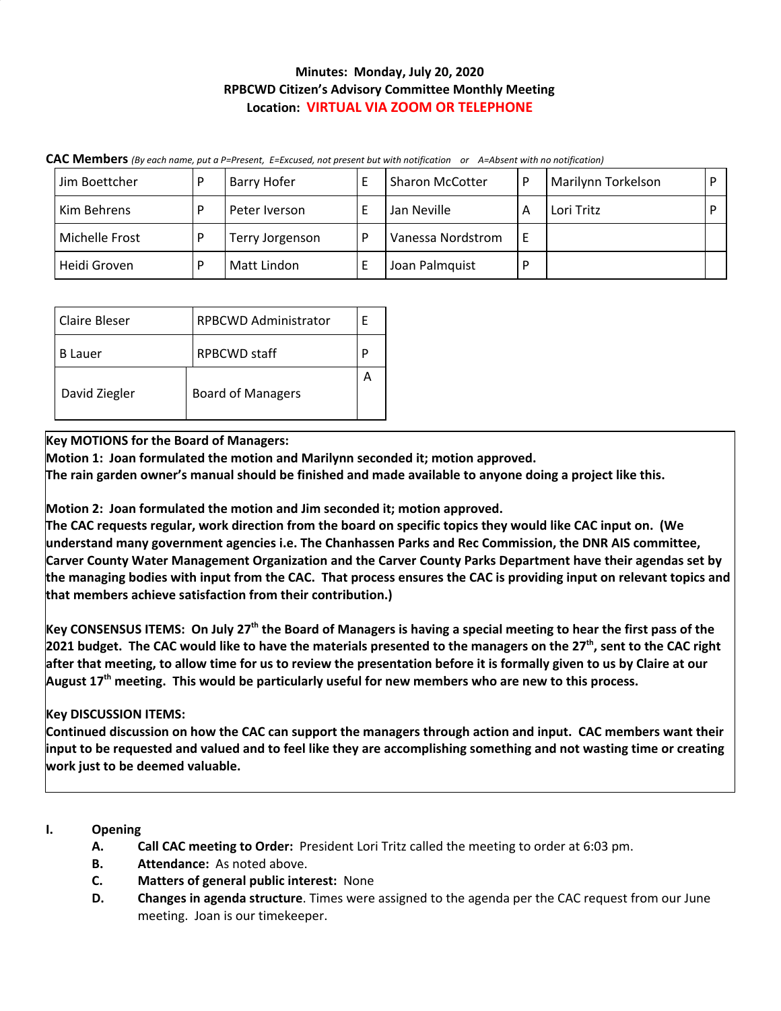## **Minutes: Monday, July 20, 2020 RPBCWD Citizen's Advisory Committee Monthly Meeting Location: VIRTUAL VIA ZOOM OR TELEPHONE**

| Jim Boettcher  |  | Barry Hofer     |  | <b>Sharon McCotter</b> |  | Marilynn Torkelson |  |  |
|----------------|--|-----------------|--|------------------------|--|--------------------|--|--|
| Kim Behrens    |  | Peter Iverson   |  | Jan Neville            |  | Lori Tritz         |  |  |
| Michelle Frost |  | Terry Jorgenson |  | Vanessa Nordstrom      |  |                    |  |  |
| Heidi Groven   |  | Matt Lindon     |  | Joan Palmquist         |  |                    |  |  |

CAC Members (By each name, put a P=Present, E=Excused, not present but with notification or A=Absent with no notification)

| Claire Bleser | <b>RPBCWD Administrator</b> |  |  |  |  |  |
|---------------|-----------------------------|--|--|--|--|--|
| B Lauer       | <b>RPBCWD</b> staff         |  |  |  |  |  |
| David Ziegler | <b>Board of Managers</b>    |  |  |  |  |  |

**Key MOTIONS for the Board of Managers:**

**Motion 1: Joan formulated the motion and Marilynn seconded it; motion approved.**

The rain garden owner's manual should be finished and made available to anyone doing a project like this.

**Motion 2: Joan formulated the motion and Jim seconded it; motion approved.**

The CAC requests regular, work direction from the board on specific topics they would like CAC input on. (We **understand many government agencies i.e. The Chanhassen Parks and Rec Commission, the DNR AIS committee, Carver County Water Management Organization and the Carver County Parks Department have their agendas set by** the managing bodies with input from the CAC. That process ensures the CAC is providing input on relevant topics and **that members achieve satisfaction from their contribution.)**

Key CONSENSUS ITEMS: On July 27<sup>th</sup> the Board of Managers is having a special meeting to hear the first pass of the 2021 budget. The CAC would like to have the materials presented to the managers on the 27<sup>th</sup>, sent to the CAC right after that meeting, to allow time for us to review the presentation before it is formally given to us by Claire at our August 17<sup>th</sup> meeting. This would be particularly useful for new members who are new to this process.

# **Key DISCUSSION ITEMS:**

Continued discussion on how the CAC can support the managers through action and input. CAC members want their input to be requested and valued and to feel like they are accomplishing something and not wasting time or creating **work just to be deemed valuable.**

## **I. Opening**

- **A. Call CAC meeting to Order:** President Lori Tritz called the meeting to order at 6:03 pm.
- **B. Attendance:** As noted above.
- **C. Matters of general public interest:** None
- **D. Changes in agenda structure**. Times were assigned to the agenda per the CAC request from our June meeting. Joan is our timekeeper.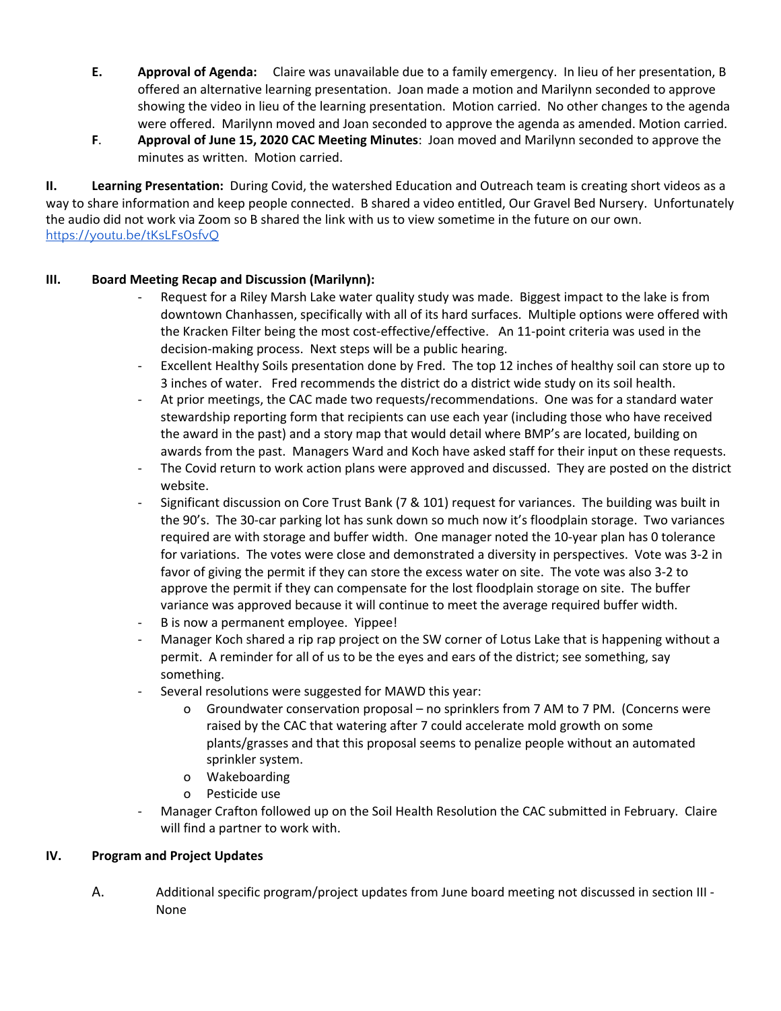- **E. Approval of Agenda:** Claire was unavailable due to a family emergency. In lieu of her presentation, B offered an alternative learning presentation. Joan made a motion and Marilynn seconded to approve showing the video in lieu of the learning presentation. Motion carried. No other changes to the agenda were offered. Marilynn moved and Joan seconded to approve the agenda as amended. Motion carried.
- **F**. **Approval of June 15, 2020 CAC Meeting Minutes**: Joan moved and Marilynn seconded to approve the minutes as written. Motion carried.

**II. Learning Presentation:** During Covid, the watershed Education and Outreach team is creating short videos as a way to share information and keep people connected. B shared a video entitled, Our Gravel Bed Nursery. Unfortunately the audio did not work via Zoom so B shared the link with us to view sometime in the future on our own. <https://youtu.be/tKsLFs0sfvQ>

### **III. Board Meeting Recap and Discussion (Marilynn):**

- Request for a Riley Marsh Lake water quality study was made. Biggest impact to the lake is from downtown Chanhassen, specifically with all of its hard surfaces. Multiple options were offered with the Kracken Filter being the most cost-effective/effective. An 11-point criteria was used in the decision-making process. Next steps will be a public hearing.
- Excellent Healthy Soils presentation done by Fred. The top 12 inches of healthy soil can store up to 3 inches of water. Fred recommends the district do a district wide study on its soil health.
- At prior meetings, the CAC made two requests/recommendations. One was for a standard water stewardship reporting form that recipients can use each year (including those who have received the award in the past) and a story map that would detail where BMP's are located, building on awards from the past. Managers Ward and Koch have asked staff for their input on these requests.
- The Covid return to work action plans were approved and discussed. They are posted on the district website.
- Significant discussion on Core Trust Bank (7 & 101) request for variances. The building was built in the 90's. The 30-car parking lot has sunk down so much now it's floodplain storage. Two variances required are with storage and buffer width. One manager noted the 10-year plan has 0 tolerance for variations. The votes were close and demonstrated a diversity in perspectives. Vote was 3-2 in favor of giving the permit if they can store the excess water on site. The vote was also 3-2 to approve the permit if they can compensate for the lost floodplain storage on site. The buffer variance was approved because it will continue to meet the average required buffer width.
- B is now a permanent employee. Yippee!
- Manager Koch shared a rip rap project on the SW corner of Lotus Lake that is happening without a permit. A reminder for all of us to be the eyes and ears of the district; see something, say something.
- Several resolutions were suggested for MAWD this year:
	- o Groundwater conservation proposal no sprinklers from 7 AM to 7 PM. (Concerns were raised by the CAC that watering after 7 could accelerate mold growth on some plants/grasses and that this proposal seems to penalize people without an automated sprinkler system.
	- o Wakeboarding
	- o Pesticide use
- Manager Crafton followed up on the Soil Health Resolution the CAC submitted in February. Claire will find a partner to work with.

#### **IV. Program and Project Updates**

A. Additional specific program/project updates from June board meeting not discussed in section III - None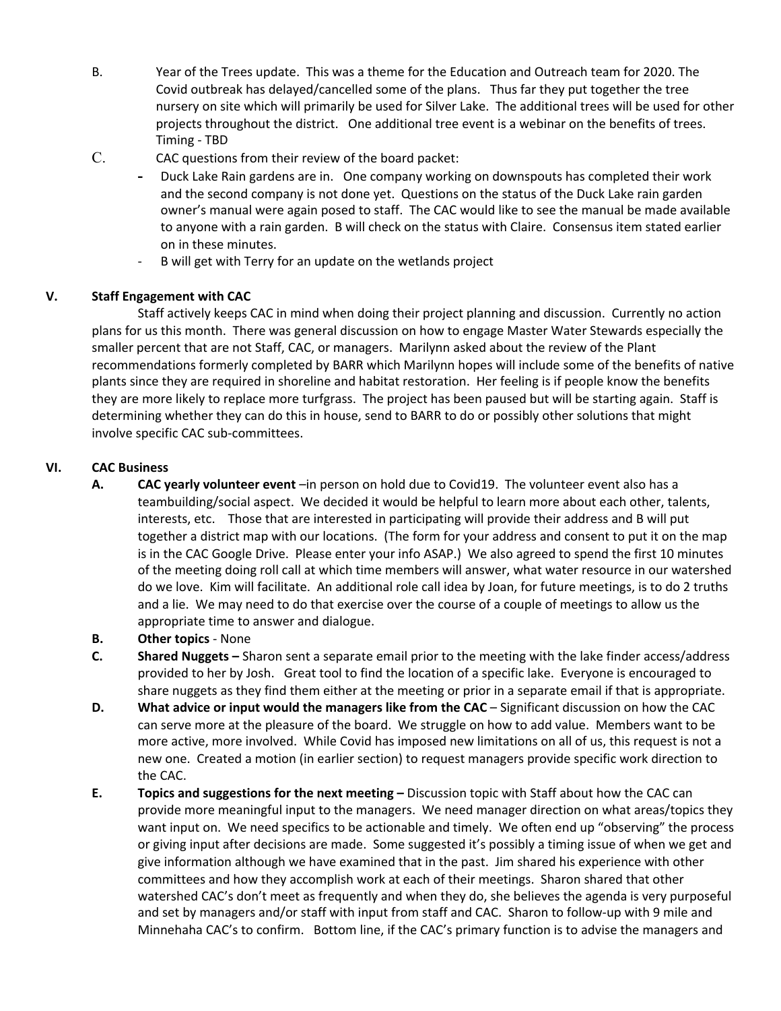- B. Year of the Trees update. This was a theme for the Education and Outreach team for 2020. The Covid outbreak has delayed/cancelled some of the plans. Thus far they put together the tree nursery on site which will primarily be used for Silver Lake. The additional trees will be used for other projects throughout the district. One additional tree event is a webinar on the benefits of trees. Timing - TBD
- C. CAC questions from their review of the board packet:
	- **-** Duck Lake Rain gardens are in. One company working on downspouts has completed their work and the second company is not done yet. Questions on the status of the Duck Lake rain garden owner's manual were again posed to staff. The CAC would like to see the manual be made available to anyone with a rain garden. B will check on the status with Claire. Consensus item stated earlier on in these minutes.
	- B will get with Terry for an update on the wetlands project

### **V. Staff Engagement with CAC**

Staff actively keeps CAC in mind when doing their project planning and discussion. Currently no action plans for us this month. There was general discussion on how to engage Master Water Stewards especially the smaller percent that are not Staff, CAC, or managers. Marilynn asked about the review of the Plant recommendations formerly completed by BARR which Marilynn hopes will include some of the benefits of native plants since they are required in shoreline and habitat restoration. Her feeling is if people know the benefits they are more likely to replace more turfgrass. The project has been paused but will be starting again. Staff is determining whether they can do this in house, send to BARR to do or possibly other solutions that might involve specific CAC sub-committees.

## **VI. CAC Business**

- **A. CAC yearly volunteer event** –in person on hold due to Covid19. The volunteer event also has a teambuilding/social aspect. We decided it would be helpful to learn more about each other, talents, interests, etc. Those that are interested in participating will provide their address and B will put together a district map with our locations. (The form for your address and consent to put it on the map is in the CAC Google Drive. Please enter your info ASAP.) We also agreed to spend the first 10 minutes of the meeting doing roll call at which time members will answer, what water resource in our watershed do we love. Kim will facilitate. An additional role call idea by Joan, for future meetings, is to do 2 truths and a lie. We may need to do that exercise over the course of a couple of meetings to allow us the appropriate time to answer and dialogue.
- **B. Other topics** None
- **C. Shared Nuggets –** Sharon sent a separate email prior to the meeting with the lake finder access/address provided to her by Josh. Great tool to find the location of a specific lake. Everyone is encouraged to share nuggets as they find them either at the meeting or prior in a separate email if that is appropriate.
- **D. What advice or input would the managers like from the CAC** Significant discussion on how the CAC can serve more at the pleasure of the board. We struggle on how to add value. Members want to be more active, more involved. While Covid has imposed new limitations on all of us, this request is not a new one. Created a motion (in earlier section) to request managers provide specific work direction to the CAC.
- **E. Topics and suggestions for the next meeting –** Discussion topic with Staff about how the CAC can provide more meaningful input to the managers. We need manager direction on what areas/topics they want input on. We need specifics to be actionable and timely. We often end up "observing" the process or giving input after decisions are made. Some suggested it's possibly a timing issue of when we get and give information although we have examined that in the past. Jim shared his experience with other committees and how they accomplish work at each of their meetings. Sharon shared that other watershed CAC's don't meet as frequently and when they do, she believes the agenda is very purposeful and set by managers and/or staff with input from staff and CAC. Sharon to follow-up with 9 mile and Minnehaha CAC's to confirm. Bottom line, if the CAC's primary function is to advise the managers and